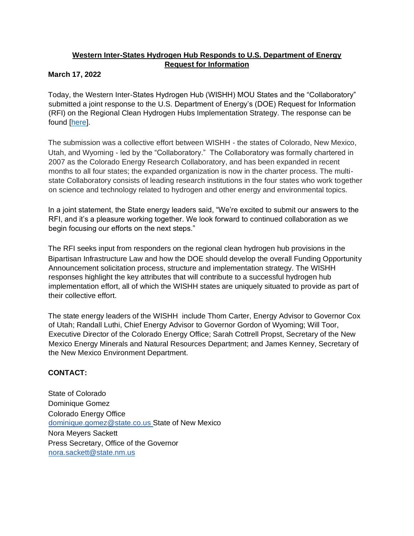## **Western Inter-States Hydrogen Hub Responds to U.S. Department of Energy Request for Information**

## **March 17, 2022**

Today, the Western Inter-States Hydrogen Hub (WISHH) MOU States and the "Collaboratory" submitted a joint response to the U.S. Department of Energy's (DOE) Request for Information (RFI) on the Regional Clean Hydrogen Hubs Implementation Strategy. The response can be found [\[here\]](https://energyoffice.colorado.gov/sites/energyoffice/files/documents/2022-03-17.%20%20Western%20Inter-States%20RFI%20Response%20-%20final_0.pdf).

The submission was a collective effort between WISHH - the states of Colorado, New Mexico, Utah, and Wyoming - led by the "Collaboratory." The Collaboratory was formally chartered in 2007 as the Colorado Energy Research Collaboratory, and has been expanded in recent months to all four states; the expanded organization is now in the charter process. The multistate Collaboratory consists of leading research institutions in the four states who work together on science and technology related to hydrogen and other energy and environmental topics.

In a joint statement, the State energy leaders said, "We're excited to submit our answers to the RFI, and it's a pleasure working together. We look forward to continued collaboration as we begin focusing our efforts on the next steps."

The RFI seeks input from responders on the regional clean hydrogen hub provisions in the Bipartisan Infrastructure Law and how the DOE should develop the overall Funding Opportunity Announcement solicitation process, structure and implementation strategy. The WISHH responses highlight the key attributes that will contribute to a successful hydrogen hub implementation effort, all of which the WISHH states are uniquely situated to provide as part of their collective effort.

The state energy leaders of the WISHH include Thom Carter, Energy Advisor to Governor Cox of Utah; Randall Luthi, Chief Energy Advisor to Governor Gordon of Wyoming; Will Toor, Executive Director of the Colorado Energy Office; Sarah Cottrell Propst, Secretary of the New Mexico Energy Minerals and Natural Resources Department; and James Kenney, Secretary of the New Mexico Environment Department.

## **CONTACT:**

State of Colorado Dominique Gomez Colorado Energy Office dominique.gomez@state.co.us State of New Mexico Nora Meyers Sackett Press Secretary, Office of the Governor nora.sackett@state.nm.us